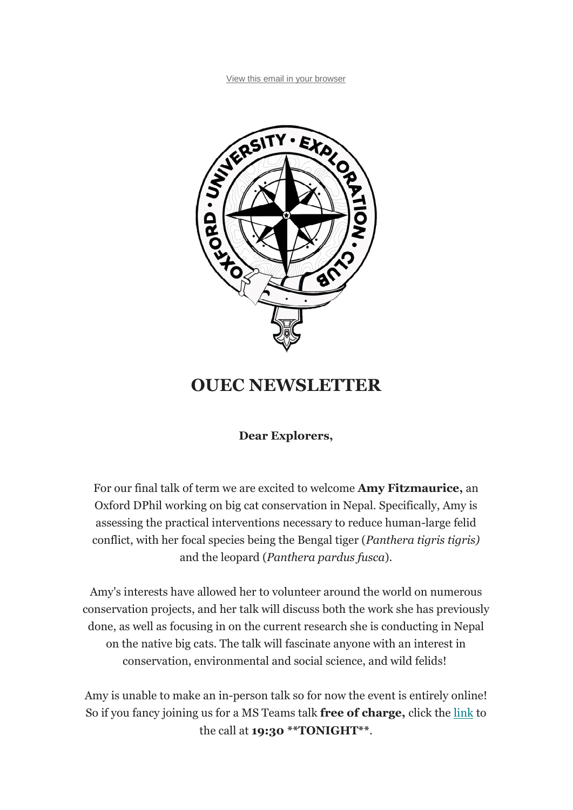

## **OUEC NEWSLETTER**

**Dear Explorers,**

For our final talk of term we are excited to welcome **Amy Fitzmaurice,** an Oxford DPhil working on big cat conservation in Nepal. Specifically, Amy is assessing the practical interventions necessary to reduce human-large felid conflict, with her focal species being the Bengal tiger (*Panthera tigris tigris)* and the leopard (*Panthera pardus fusca*).

Amy's interests have allowed her to volunteer around the world on numerous conservation projects, and her talk will discuss both the work she has previously done, as well as focusing in on the current research she is conducting in Nepal on the native big cats. The talk will fascinate anyone with an interest in conservation, environmental and social science, and wild felids!

Amy is unable to make an in-person talk so for now the event is entirely online! So if you fancy joining us for a MS Teams talk **free of charge,** click the link to the call at **19:30 \*\*TONIGHT\*\***.